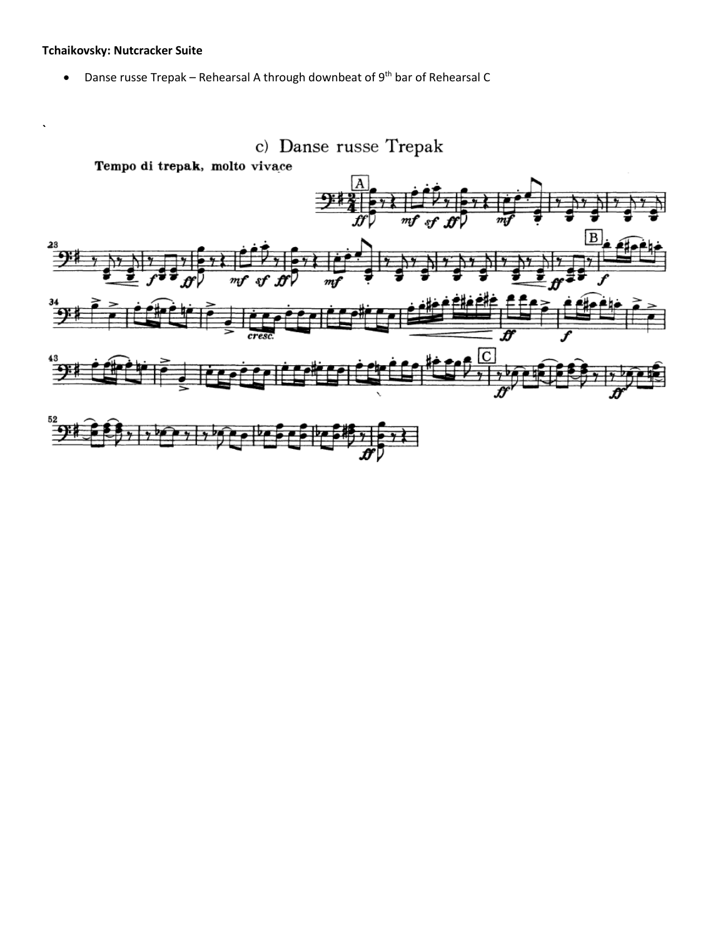## **Tchaikovsky: Nutcracker Suite**

• Danse russe Trepak – Rehearsal A through downbeat of 9th bar of Rehearsal C

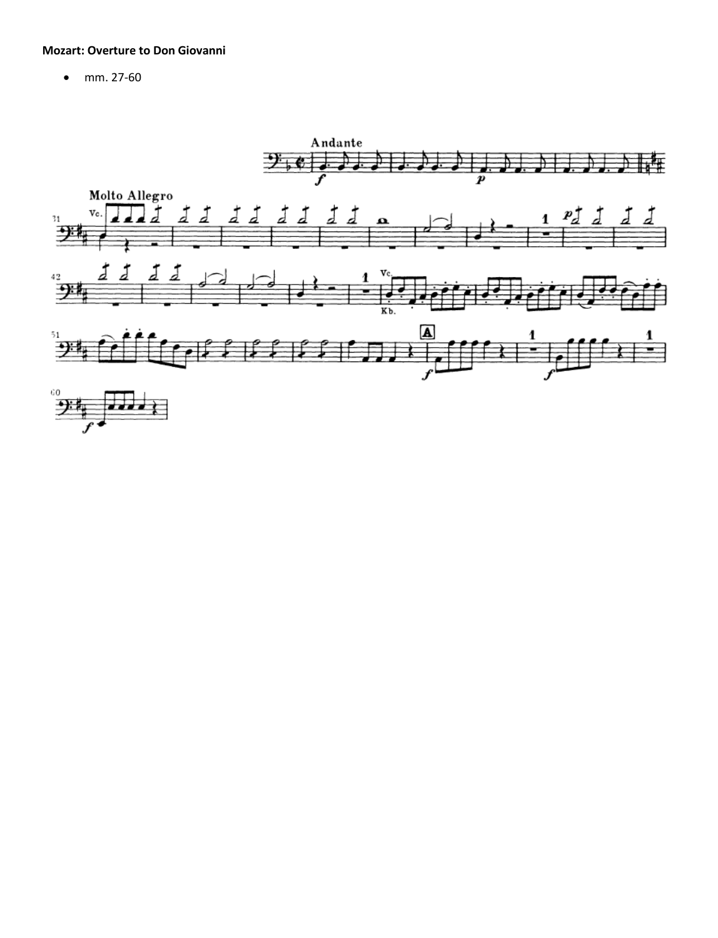## **Mozart: Overture to Don Giovanni**

• mm. 27-60

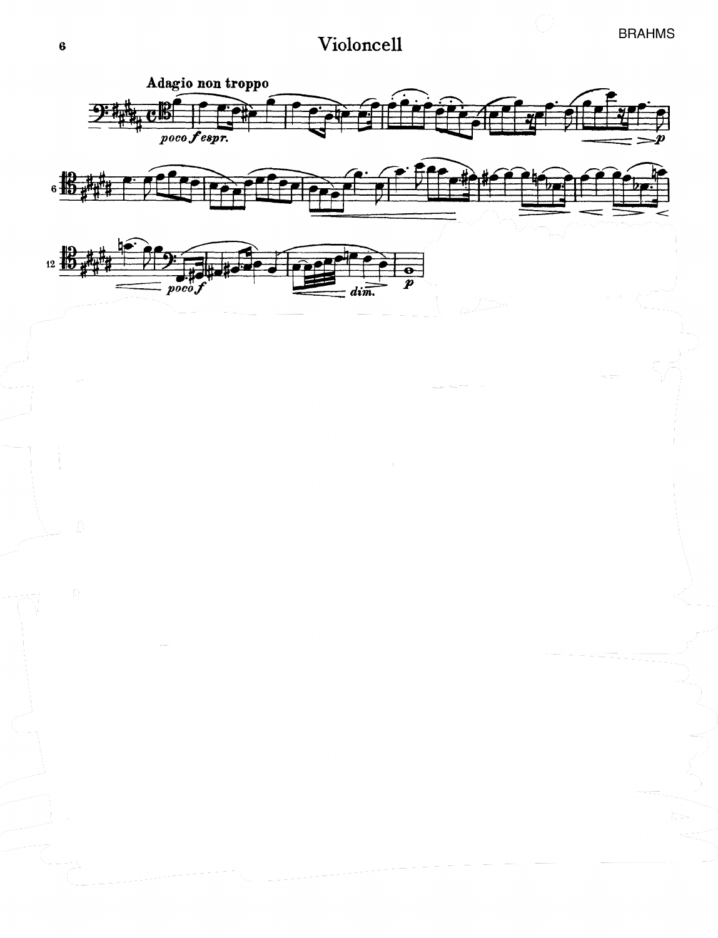## Violoncell

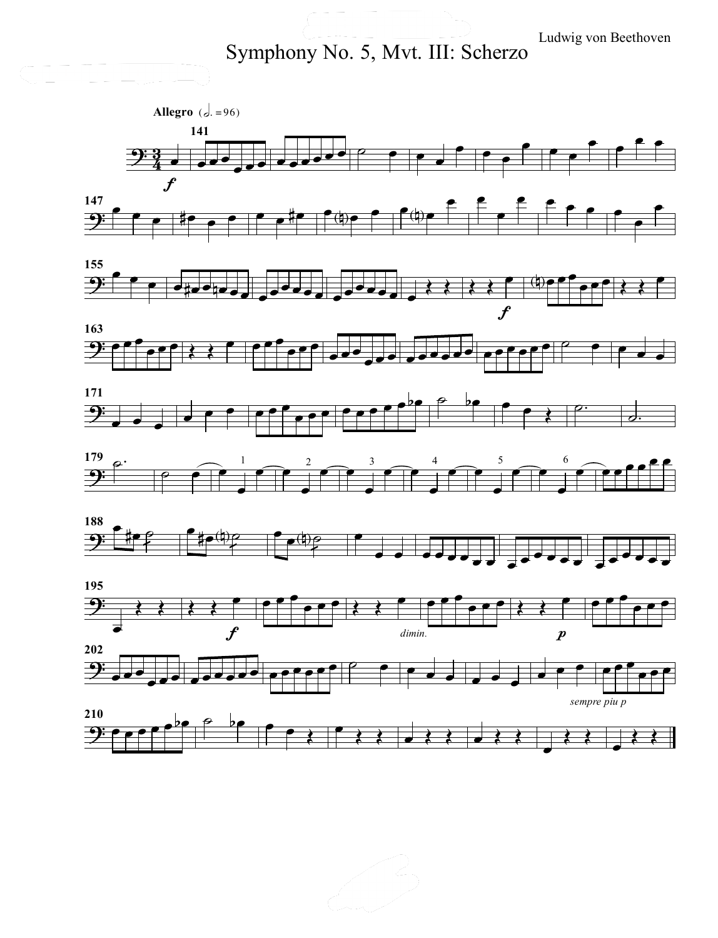Ludwig von Beethoven

Symphony No. 5, Mvt. III: Scherzo

Cello Barriotto<br>Cello Barriotto<br>Cello Barriotto